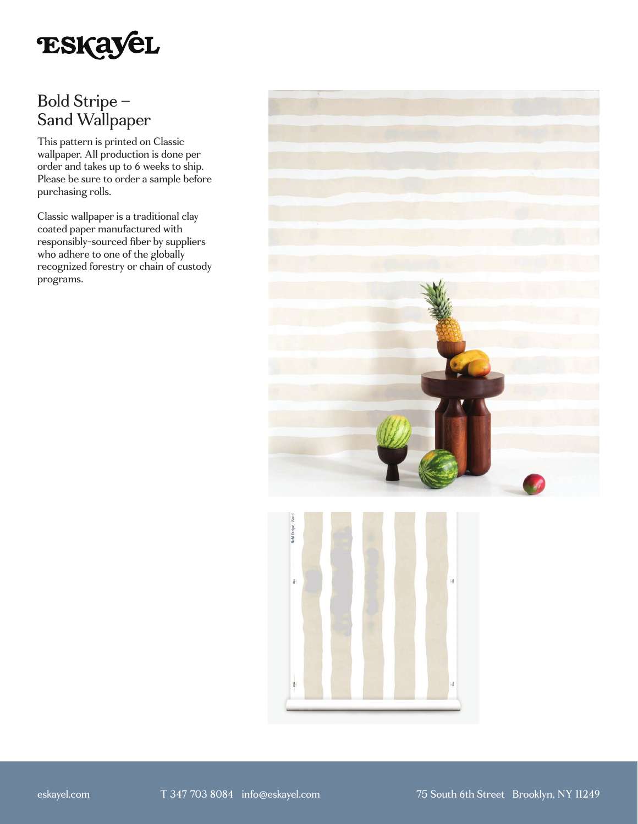

# Bold Stripe – Sand Wallpaper

This pattern is printed on Classic wallpaper. All production is done per order and takes up to 6 weeks to ship. Please be sure to order a sample before purchasing rolls.

Classic wallpaper is a traditional clay coated paper manufactured with responsibly-sourced fiber by suppliers who adhere to one of the globally recognized forestry or chain of custody programs.



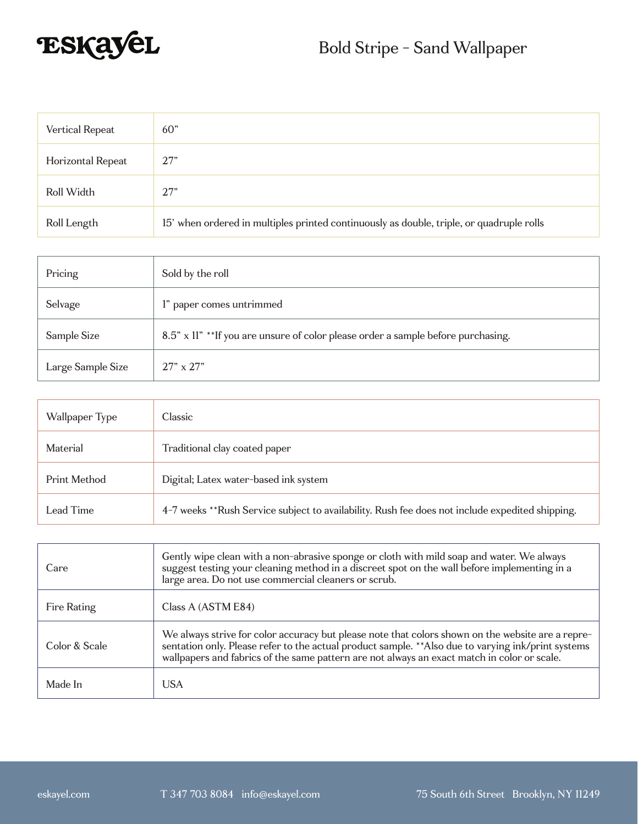

| <b>Vertical Repeat</b> | 60 <sup>"</sup>                                                                          |
|------------------------|------------------------------------------------------------------------------------------|
| Horizontal Repeat      | 27"                                                                                      |
| Roll Width             | 27"                                                                                      |
| Roll Length            | 15' when ordered in multiples printed continuously as double, triple, or quadruple rolls |

| Pricing           | Sold by the roll                                                                  |
|-------------------|-----------------------------------------------------------------------------------|
| Selvage           | l" paper comes untrimmed                                                          |
| Sample Size       | 8.5" x 11" ** If you are unsure of color please order a sample before purchasing. |
| Large Sample Size | $27" \times 27"$                                                                  |

| Wallpaper Type | Classic                                                                                         |
|----------------|-------------------------------------------------------------------------------------------------|
| Material       | Traditional clay coated paper                                                                   |
| Print Method   | Digital; Latex water-based ink system                                                           |
| Lead Time      | 4-7 weeks **Rush Service subject to availability. Rush fee does not include expedited shipping. |

| Care          | Gently wipe clean with a non-abrasive sponge or cloth with mild soap and water. We always<br>suggest testing your cleaning method in a discreet spot on the wall before implementing in a<br>large area. Do not use commercial cleaners or scrub.                                                       |
|---------------|---------------------------------------------------------------------------------------------------------------------------------------------------------------------------------------------------------------------------------------------------------------------------------------------------------|
| Fire Rating   | Class A (ASTM E84)                                                                                                                                                                                                                                                                                      |
| Color & Scale | We always strive for color accuracy but please note that colors shown on the website are a repre-<br>sentation only. Please refer to the actual product sample. ** Also due to varying ink/print systems<br>wallpapers and fabrics of the same pattern are not always an exact match in color or scale. |
| Made In       | <b>USA</b>                                                                                                                                                                                                                                                                                              |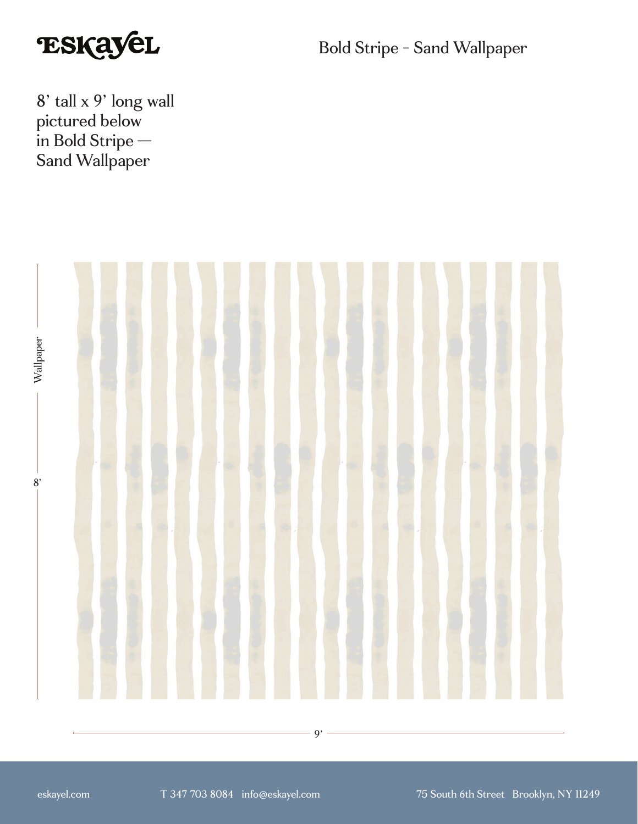

Bold Stripe - Sand Wallpaper

8' tall x 9' long wall pictured below in Bold Stripe — Sand Wallpaper

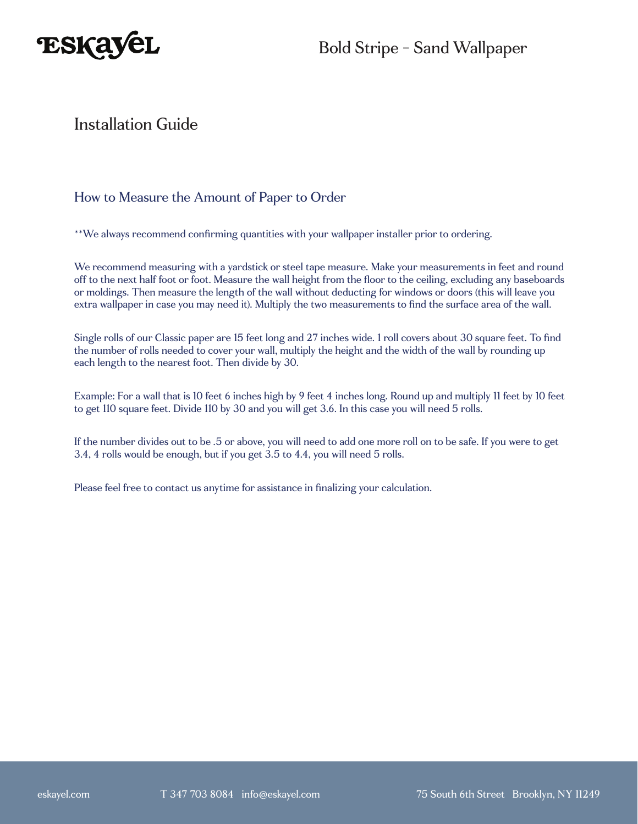

### Installation Guide

#### How to Measure the Amount of Paper to Order

\*\*We always recommend confirming quantities with your wallpaper installer prior to ordering.

We recommend measuring with a yardstick or steel tape measure. Make your measurements in feet and round off to the next half foot or foot. Measure the wall height from the floor to the ceiling, excluding any baseboards or moldings. Then measure the length of the wall without deducting for windows or doors (this will leave you extra wallpaper in case you may need it). Multiply the two measurements to find the surface area of the wall.

Single rolls of our Classic paper are 15 feet long and 27 inches wide. 1 roll covers about 30 square feet. To find the number of rolls needed to cover your wall, multiply the height and the width of the wall by rounding up each length to the nearest foot. Then divide by 30.

Example: For a wall that is 10 feet 6 inches high by 9 feet 4 inches long. Round up and multiply 11 feet by 10 feet to get 110 square feet. Divide 110 by 30 and you will get 3.6. In this case you will need 5 rolls.

If the number divides out to be .5 or above, you will need to add one more roll on to be safe. If you were to get 3.4, 4 rolls would be enough, but if you get 3.5 to 4.4, you will need 5 rolls.

Please feel free to contact us anytime for assistance in finalizing your calculation.